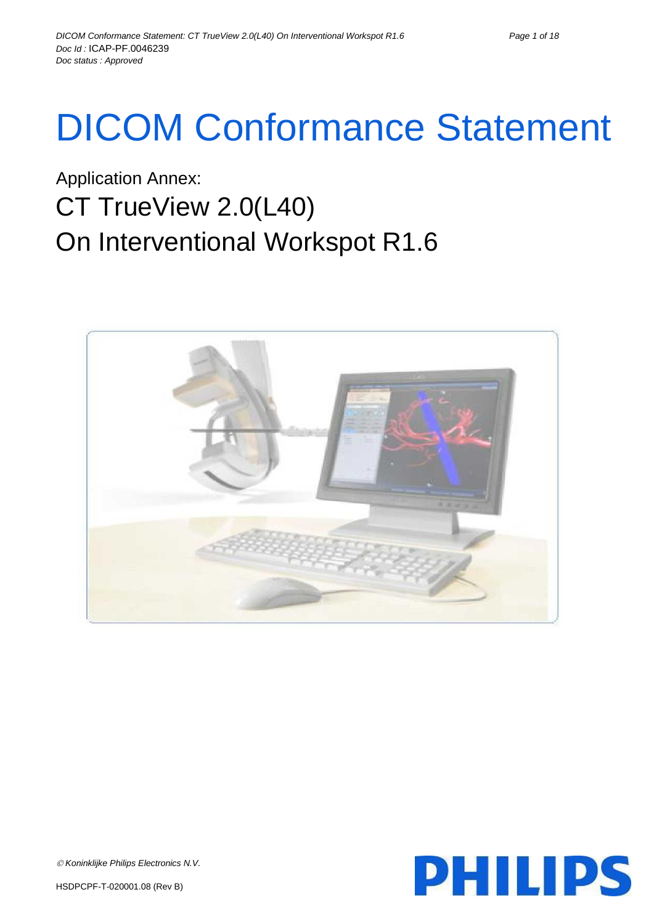# DICOM Conformance Statement

## Application Annex: CT TrueView 2.0(L40) On Interventional Workspot R1.6



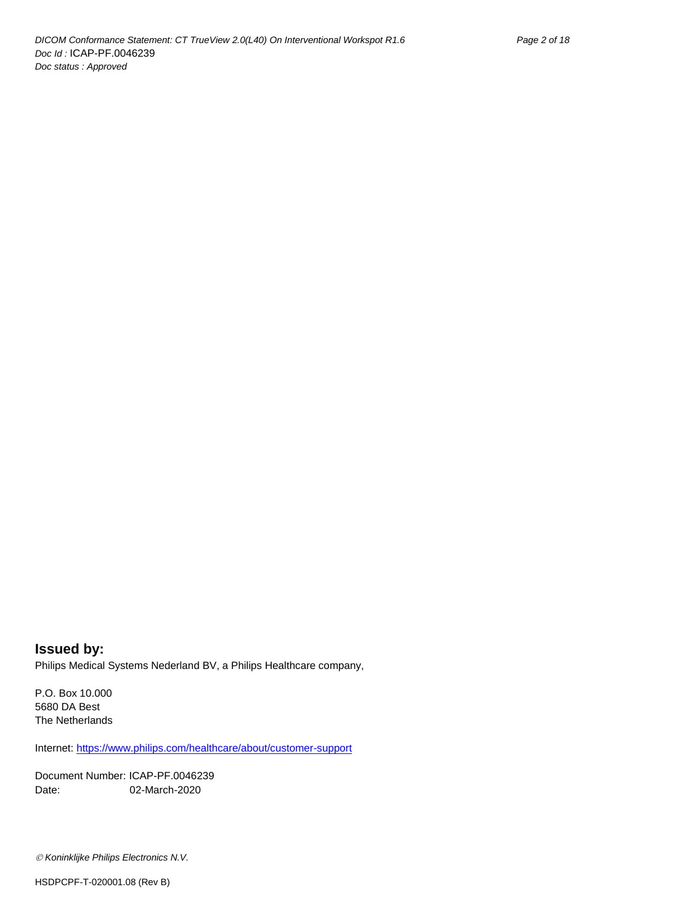**Issued by:** Philips Medical Systems Nederland BV, a Philips Healthcare company,

P.O. Box 10.000 5680 DA Best The Netherlands

Internet[: https://www.philips.com/healthcare/about/customer-support](https://www.philips.com/healthcare/about/customer-support)

Document Number: ICAP-PF.0046239 Date: 02-March-2020

*Koninklijke Philips Electronics N.V.*

HSDPCPF-T-020001.08 (Rev B)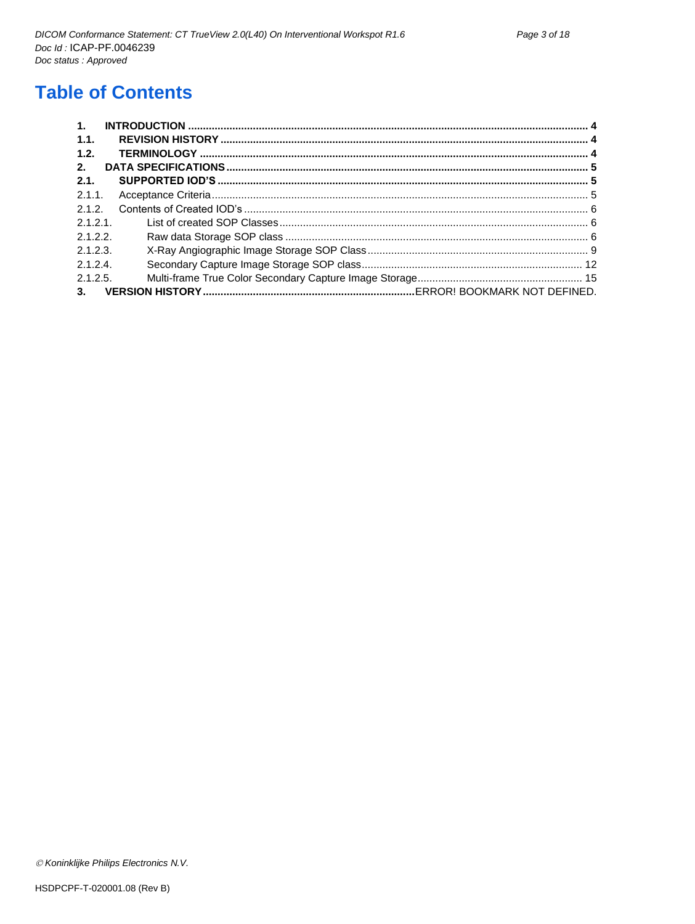## **Table of Contents**

| 1.       |  |
|----------|--|
| 1.1.     |  |
| 1.2.     |  |
| 2.       |  |
| 2.1.     |  |
| 2.1.1.   |  |
| 2.1.2.   |  |
| 2.1.2.1  |  |
| 2.1.2.2  |  |
| 2.1.2.3. |  |
| 2.1.2.4  |  |
| 2.1.2.5. |  |
| 3.       |  |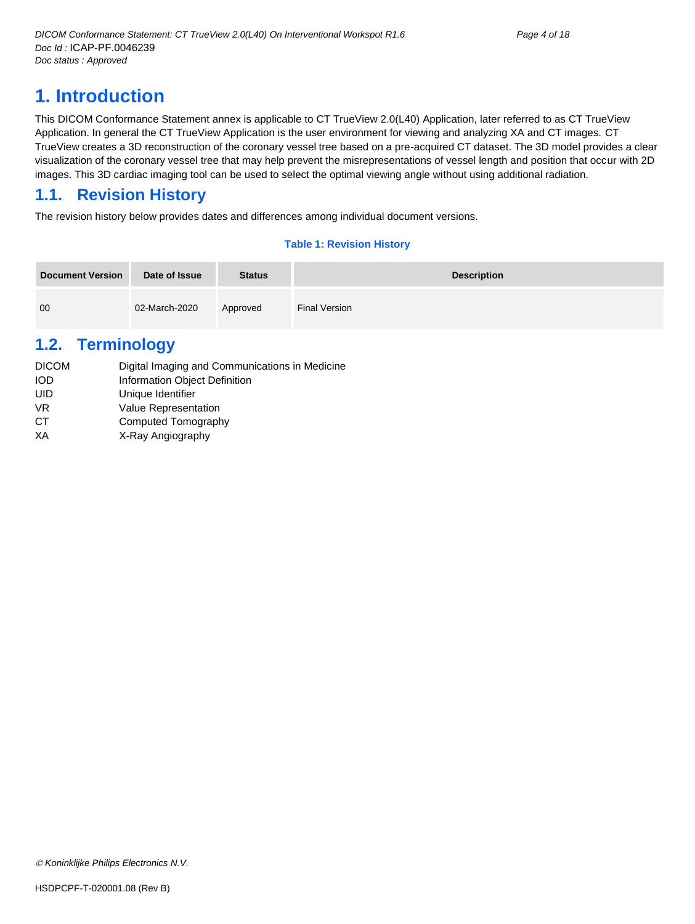## <span id="page-3-0"></span>**1. Introduction**

This DICOM Conformance Statement annex is applicable to CT TrueView 2.0(L40) Application, later referred to as CT TrueView Application. In general the CT TrueView Application is the user environment for viewing and analyzing XA and CT images. CT TrueView creates a 3D reconstruction of the coronary vessel tree based on a pre-acquired CT dataset. The 3D model provides a clear visualization of the coronary vessel tree that may help prevent the misrepresentations of vessel length and position that occur with 2D images. This 3D cardiac imaging tool can be used to select the optimal viewing angle without using additional radiation.

## <span id="page-3-1"></span>**1.1. Revision History**

The revision history below provides dates and differences among individual document versions.

#### **Table 1: Revision History**

| <b>Document Version</b> | Date of Issue | <b>Status</b> | <b>Description</b>   |
|-------------------------|---------------|---------------|----------------------|
| 00                      | 02-March-2020 | Approved      | <b>Final Version</b> |

## <span id="page-3-2"></span>**1.2. Terminology**

| <b>DICOM</b> | Digital Imaging and Communications in Medicine |
|--------------|------------------------------------------------|
| <b>IOD</b>   | Information Object Definition                  |
| UID          | Unique Identifier                              |
| VR.          | <b>Value Representation</b>                    |
| СT           | Computed Tomography                            |
| ХA           | X-Ray Angiography                              |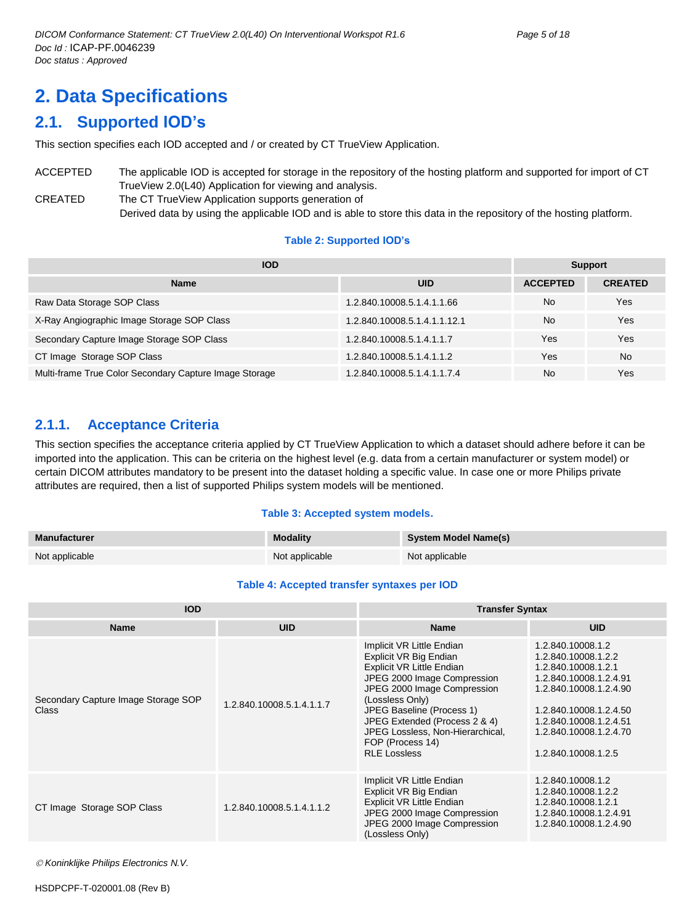## <span id="page-4-0"></span>**2. Data Specifications**

## <span id="page-4-1"></span>**2.1. Supported IOD's**

This section specifies each IOD accepted and / or created by CT TrueView Application.

ACCEPTED The applicable IOD is accepted for storage in the repository of the hosting platform and supported for import of CT TrueView 2.0(L40) Application for viewing and analysis. CREATED The CT TrueView Application supports generation of Derived data by using the applicable IOD and is able to store this data in the repository of the hosting platform.

#### **Table 2: Supported IOD's**

| <b>IOD</b>                                             |                              |                 | <b>Support</b> |  |  |
|--------------------------------------------------------|------------------------------|-----------------|----------------|--|--|
| <b>Name</b>                                            | <b>UID</b>                   | <b>ACCEPTED</b> | <b>CREATED</b> |  |  |
| Raw Data Storage SOP Class                             | 1.2.840.10008.5.1.4.1.1.66   | <b>No</b>       | Yes            |  |  |
| X-Ray Angiographic Image Storage SOP Class             | 1.2.840.10008.5.1.4.1.1.12.1 | <b>No</b>       | Yes            |  |  |
| Secondary Capture Image Storage SOP Class              | 1.2.840.10008.5.1.4.1.1.7    | Yes             | Yes            |  |  |
| CT Image Storage SOP Class                             | 1.2.840.10008.5.1.4.1.1.2    | Yes             | No.            |  |  |
| Multi-frame True Color Secondary Capture Image Storage | 1.2.840.10008.5.1.4.1.1.7.4  | <b>No</b>       | Yes            |  |  |

#### <span id="page-4-2"></span>**2.1.1. Acceptance Criteria**

This section specifies the acceptance criteria applied by CT TrueView Application to which a dataset should adhere before it can be imported into the application. This can be criteria on the highest level (e.g. data from a certain manufacturer or system model) or certain DICOM attributes mandatory to be present into the dataset holding a specific value. In case one or more Philips private attributes are required, then a list of supported Philips system models will be mentioned.

#### **Table 3: Accepted system models.**

| Manufacturer   | <b>Modality</b> | System Model Name(s) |
|----------------|-----------------|----------------------|
| Not applicable | Not applicable  | Not applicable       |

#### **Table 4: Accepted transfer syntaxes per IOD**

| <b>IOD</b>                                   |                           | <b>Transfer Syntax</b>                                                                                                                                                                                                                                                                                                |                                                                                                                                                                                                                          |  |
|----------------------------------------------|---------------------------|-----------------------------------------------------------------------------------------------------------------------------------------------------------------------------------------------------------------------------------------------------------------------------------------------------------------------|--------------------------------------------------------------------------------------------------------------------------------------------------------------------------------------------------------------------------|--|
| <b>Name</b>                                  | <b>UID</b>                | <b>Name</b>                                                                                                                                                                                                                                                                                                           | <b>UID</b>                                                                                                                                                                                                               |  |
| Secondary Capture Image Storage SOP<br>Class | 1.2.840.10008.5.1.4.1.1.7 | Implicit VR Little Endian<br>Explicit VR Big Endian<br><b>Explicit VR Little Endian</b><br>JPEG 2000 Image Compression<br>JPEG 2000 Image Compression<br>(Lossless Only)<br>JPEG Baseline (Process 1)<br>JPEG Extended (Process 2 & 4)<br>JPEG Lossless, Non-Hierarchical,<br>FOP (Process 14)<br><b>RLE Lossless</b> | 1.2.840.10008.1.2<br>1.2.840.10008.1.2.2<br>1.2.840.10008.1.2.1<br>1.2.840.10008.1.2.4.91<br>1.2.840.10008.1.2.4.90<br>1.2.840.10008.1.2.4.50<br>1.2.840.10008.1.2.4.51<br>1.2.840.10008.1.2.4.70<br>1.2.840.10008.1.2.5 |  |
| CT Image Storage SOP Class                   | 1.2.840.10008.5.1.4.1.1.2 | Implicit VR Little Endian<br>Explicit VR Big Endian<br>Explicit VR Little Endian<br>JPEG 2000 Image Compression<br>JPEG 2000 Image Compression<br>(Lossless Only)                                                                                                                                                     | 1.2.840.10008.1.2<br>1.2.840.10008.1.2.2<br>1.2.840.10008.1.2.1<br>1.2.840.10008.1.2.4.91<br>1.2.840.10008.1.2.4.90                                                                                                      |  |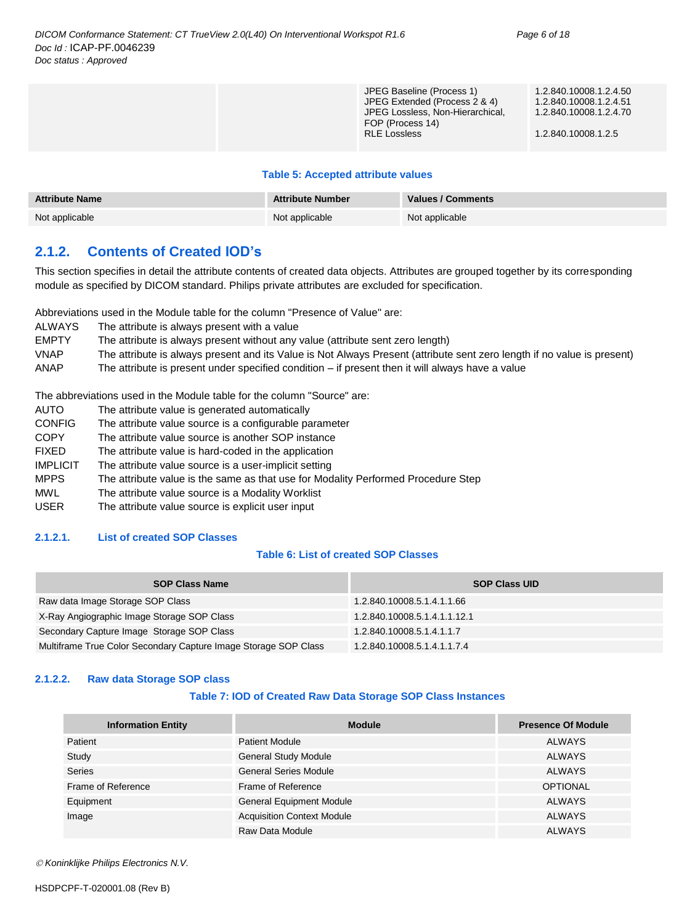#### **Table 5: Accepted attribute values**

| <b>Attribute Name</b> | <b>Attribute Number</b> | <b>Values / Comments</b> |
|-----------------------|-------------------------|--------------------------|
| Not applicable        | Not applicable          | Not applicable           |

#### <span id="page-5-0"></span>**2.1.2. Contents of Created IOD's**

This section specifies in detail the attribute contents of created data objects. Attributes are grouped together by its corresponding module as specified by DICOM standard. Philips private attributes are excluded for specification.

Abbreviations used in the Module table for the column "Presence of Value" are:

| <b>ALWAYS</b> | The attribute is always present with a value |  |
|---------------|----------------------------------------------|--|
|---------------|----------------------------------------------|--|

- EMPTY The attribute is always present without any value (attribute sent zero length)
- VNAP The attribute is always present and its Value is Not Always Present (attribute sent zero length if no value is present)

ANAP The attribute is present under specified condition – if present then it will always have a value

The abbreviations used in the Module table for the column "Source" are:

- AUTO The attribute value is generated automatically
- CONFIG The attribute value source is a configurable parameter
- COPY The attribute value source is another SOP instance FIXED The attribute value is hard-coded in the application IMPLICIT The attribute value source is a user-implicit setting MPPS The attribute value is the same as that use for Modality Performed Procedure Step MWL The attribute value source is a Modality Worklist
- USER The attribute value source is explicit user input

#### <span id="page-5-1"></span>**2.1.2.1. List of created SOP Classes**

#### **Table 6: List of created SOP Classes**

| <b>SOP Class Name</b>                                           | <b>SOP Class UID</b>         |
|-----------------------------------------------------------------|------------------------------|
| Raw data Image Storage SOP Class                                | 1.2.840.10008.5.1.4.1.1.66   |
| X-Ray Angiographic Image Storage SOP Class                      | 1.2.840.10008.5.1.4.1.1.12.1 |
| Secondary Capture Image Storage SOP Class                       | 1.2.840.10008.5.1.4.1.1.7    |
| Multiframe True Color Secondary Capture Image Storage SOP Class | 1.2.840.10008.5.1.4.1.1.7.4  |

#### <span id="page-5-2"></span>**2.1.2.2. Raw data Storage SOP class**

#### **Table 7: IOD of Created Raw Data Storage SOP Class Instances**

| <b>Information Entity</b> | <b>Module</b>                     | <b>Presence Of Module</b> |
|---------------------------|-----------------------------------|---------------------------|
| Patient                   | <b>Patient Module</b>             | ALWAYS                    |
| Study                     | <b>General Study Module</b>       | ALWAYS                    |
| <b>Series</b>             | <b>General Series Module</b>      | ALWAYS                    |
| Frame of Reference        | Frame of Reference                | <b>OPTIONAL</b>           |
| Equipment                 | <b>General Equipment Module</b>   | <b>ALWAYS</b>             |
| Image                     | <b>Acquisition Context Module</b> | <b>ALWAYS</b>             |
|                           | Raw Data Module                   | <b>ALWAYS</b>             |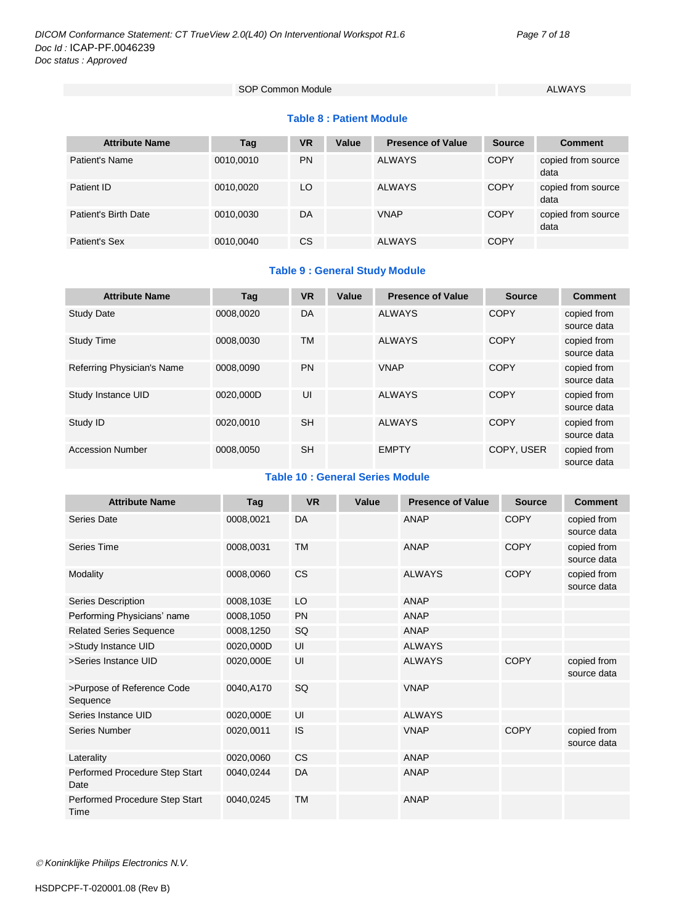SOP Common Module ALWAYS

#### **Table 8 : Patient Module**

| <b>Attribute Name</b> | Tag       | VR        | Value | <b>Presence of Value</b> | <b>Source</b> | <b>Comment</b>             |
|-----------------------|-----------|-----------|-------|--------------------------|---------------|----------------------------|
| Patient's Name        | 0010,0010 | <b>PN</b> |       | <b>ALWAYS</b>            | <b>COPY</b>   | copied from source<br>data |
| Patient ID            | 0010,0020 | LO        |       | <b>ALWAYS</b>            | <b>COPY</b>   | copied from source<br>data |
| Patient's Birth Date  | 0010.0030 | DA        |       | <b>VNAP</b>              | <b>COPY</b>   | copied from source<br>data |
| <b>Patient's Sex</b>  | 0010.0040 | <b>CS</b> |       | <b>ALWAYS</b>            | <b>COPY</b>   |                            |

#### **Table 9 : General Study Module**

| <b>Attribute Name</b>      | Tag       | <b>VR</b> | Value | <b>Presence of Value</b> | <b>Source</b> | <b>Comment</b>             |
|----------------------------|-----------|-----------|-------|--------------------------|---------------|----------------------------|
| <b>Study Date</b>          | 0008.0020 | DA        |       | <b>ALWAYS</b>            | <b>COPY</b>   | copied from<br>source data |
| <b>Study Time</b>          | 0008.0030 | <b>TM</b> |       | <b>ALWAYS</b>            | <b>COPY</b>   | copied from<br>source data |
| Referring Physician's Name | 0008.0090 | <b>PN</b> |       | <b>VNAP</b>              | <b>COPY</b>   | copied from<br>source data |
| Study Instance UID         | 0020,000D | UI        |       | <b>ALWAYS</b>            | <b>COPY</b>   | copied from<br>source data |
| Study ID                   | 0020.0010 | <b>SH</b> |       | <b>ALWAYS</b>            | <b>COPY</b>   | copied from<br>source data |
| <b>Accession Number</b>    | 0008.0050 | <b>SH</b> |       | <b>EMPTY</b>             | COPY, USER    | copied from<br>source data |

#### **Table 10 : General Series Module**

| <b>Attribute Name</b>                  | Tag       | <b>VR</b> | Value | <b>Presence of Value</b> | <b>Source</b> | <b>Comment</b>             |
|----------------------------------------|-----------|-----------|-------|--------------------------|---------------|----------------------------|
| Series Date                            | 0008,0021 | DA        |       | <b>ANAP</b>              | <b>COPY</b>   | copied from<br>source data |
| Series Time                            | 0008,0031 | <b>TM</b> |       | <b>ANAP</b>              | <b>COPY</b>   | copied from<br>source data |
| Modality                               | 0008,0060 | <b>CS</b> |       | <b>ALWAYS</b>            | <b>COPY</b>   | copied from<br>source data |
| Series Description                     | 0008,103E | LO        |       | ANAP                     |               |                            |
| Performing Physicians' name            | 0008,1050 | <b>PN</b> |       | ANAP                     |               |                            |
| <b>Related Series Sequence</b>         | 0008,1250 | SQ        |       | <b>ANAP</b>              |               |                            |
| >Study Instance UID                    | 0020,000D | UI        |       | <b>ALWAYS</b>            |               |                            |
| >Series Instance UID                   | 0020,000E | UI        |       | <b>ALWAYS</b>            | <b>COPY</b>   | copied from<br>source data |
| >Purpose of Reference Code<br>Sequence | 0040.A170 | SQ        |       | <b>VNAP</b>              |               |                            |
| Series Instance UID                    | 0020,000E | UI        |       | <b>ALWAYS</b>            |               |                            |
| Series Number                          | 0020,0011 | <b>IS</b> |       | <b>VNAP</b>              | <b>COPY</b>   | copied from<br>source data |
| Laterality                             | 0020,0060 | <b>CS</b> |       | <b>ANAP</b>              |               |                            |
| Performed Procedure Step Start<br>Date | 0040,0244 | DA        |       | ANAP                     |               |                            |
| Performed Procedure Step Start<br>Time | 0040.0245 | <b>TM</b> |       | <b>ANAP</b>              |               |                            |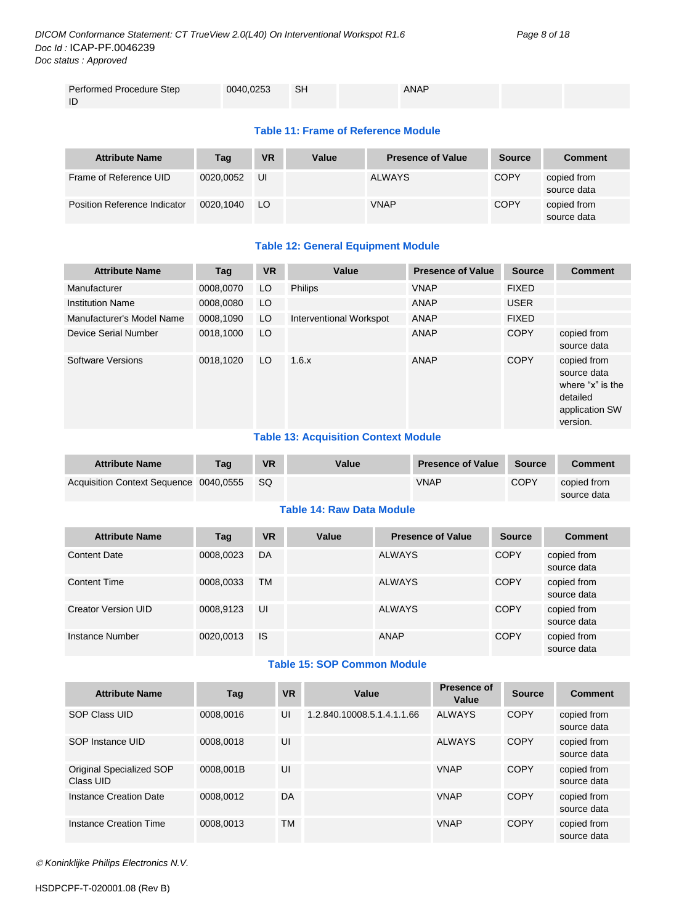| Performed Procedure Step<br>⊟ SH<br>ANAP<br>0040,0253 |  |  |  |
|-------------------------------------------------------|--|--|--|
|                                                       |  |  |  |
|                                                       |  |  |  |
|                                                       |  |  |  |

#### **Table 11: Frame of Reference Module**

| <b>Attribute Name</b>        | Tag       | <b>VR</b> | Value | <b>Presence of Value</b> | <b>Source</b> | <b>Comment</b>             |
|------------------------------|-----------|-----------|-------|--------------------------|---------------|----------------------------|
| Frame of Reference UID       | 0020.0052 | UI        |       | <b>ALWAYS</b>            | <b>COPY</b>   | copied from<br>source data |
| Position Reference Indicator | 0020.1040 | LO.       |       | <b>VNAP</b>              | <b>COPY</b>   | copied from<br>source data |

#### **Table 12: General Equipment Module**

| <b>Attribute Name</b>     | Tag       | <b>VR</b>   | Value                   | <b>Presence of Value</b> | <b>Source</b> | <b>Comment</b>                                                                           |
|---------------------------|-----------|-------------|-------------------------|--------------------------|---------------|------------------------------------------------------------------------------------------|
| Manufacturer              | 0008,0070 | LO          | <b>Philips</b>          | <b>VNAP</b>              | <b>FIXED</b>  |                                                                                          |
| <b>Institution Name</b>   | 0008.0080 | LO          |                         | ANAP                     | <b>USER</b>   |                                                                                          |
| Manufacturer's Model Name | 0008,1090 | LO          | Interventional Workspot | ANAP                     | <b>FIXED</b>  |                                                                                          |
| Device Serial Number      | 0018,1000 | LO          |                         | ANAP                     | <b>COPY</b>   | copied from<br>source data                                                               |
| Software Versions         | 0018.1020 | LO          | 1.6.x                   | ANAP                     | <b>COPY</b>   | copied from<br>source data<br>where "x" is the<br>detailed<br>application SW<br>version. |
|                           |           | _ _ _ _ _ _ | _________               |                          |               |                                                                                          |

#### **Table 13: Acquisition Context Module**

| <b>Attribute Name</b>                  | Taq | <b>VR</b> | Value | <b>Presence of Value</b> | <b>Source</b> | <b>Comment</b>             |
|----------------------------------------|-----|-----------|-------|--------------------------|---------------|----------------------------|
| Acquisition Context Sequence 0040,0555 |     | - SQ      |       | <b>VNAP</b>              | <b>COPY</b>   | copied from<br>source data |

#### **Table 14: Raw Data Module**

| <b>Attribute Name</b> | Taq       | <b>VR</b> | Value | <b>Presence of Value</b> | <b>Source</b> | <b>Comment</b>             |
|-----------------------|-----------|-----------|-------|--------------------------|---------------|----------------------------|
| <b>Content Date</b>   | 0008,0023 | DA        |       | <b>ALWAYS</b>            | <b>COPY</b>   | copied from<br>source data |
| <b>Content Time</b>   | 0008,0033 | <b>TM</b> |       | <b>ALWAYS</b>            | <b>COPY</b>   | copied from<br>source data |
| Creator Version UID   | 0008,9123 | UI        |       | <b>ALWAYS</b>            | <b>COPY</b>   | copied from<br>source data |
| Instance Number       | 0020,0013 | <b>IS</b> |       | ANAP                     | <b>COPY</b>   | copied from<br>source data |

#### **Table 15: SOP Common Module**

| <b>Attribute Name</b>                 | Tag       | <b>VR</b> | Value                      | <b>Presence of</b><br>Value | <b>Source</b> | <b>Comment</b>             |
|---------------------------------------|-----------|-----------|----------------------------|-----------------------------|---------------|----------------------------|
| SOP Class UID                         | 0008.0016 | UI        | 1.2.840.10008.5.1.4.1.1.66 | <b>ALWAYS</b>               | <b>COPY</b>   | copied from<br>source data |
| SOP Instance UID                      | 0008.0018 | UI        |                            | <b>ALWAYS</b>               | COPY          | copied from<br>source data |
| Original Specialized SOP<br>Class UID | 0008.001B | UI        |                            | <b>VNAP</b>                 | <b>COPY</b>   | copied from<br>source data |
| Instance Creation Date                | 0008.0012 | DA        |                            | <b>VNAP</b>                 | <b>COPY</b>   | copied from<br>source data |
| Instance Creation Time                | 0008.0013 | TM        |                            | <b>VNAP</b>                 | <b>COPY</b>   | copied from<br>source data |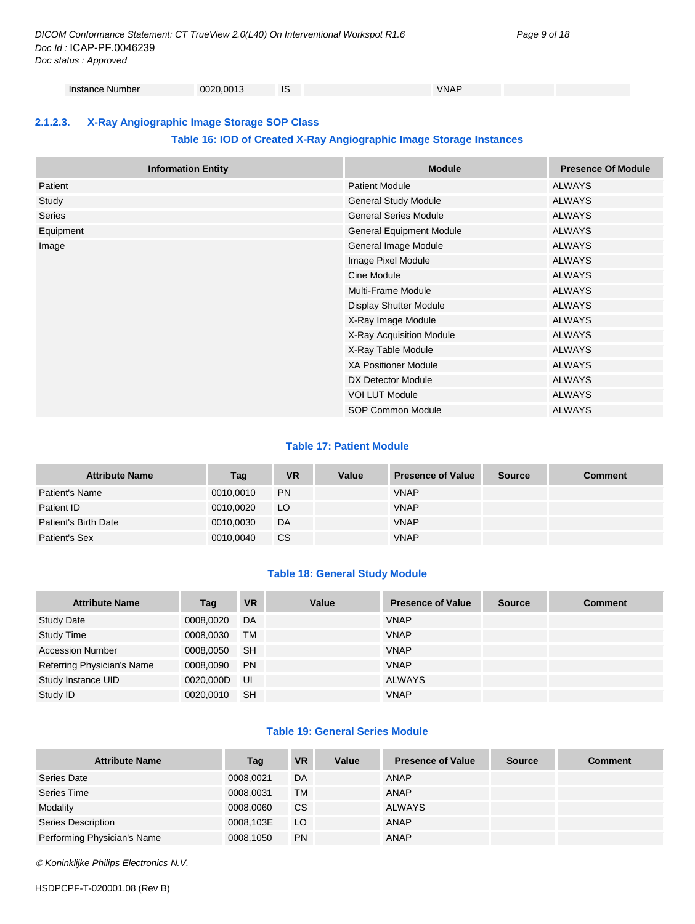Instance Number 0020,0013 IS IS VNAP

#### <span id="page-8-0"></span>**2.1.2.3. X-Ray Angiographic Image Storage SOP Class**

#### **Table 16: IOD of Created X-Ray Angiographic Image Storage Instances**

|           | <b>Information Entity</b> | <b>Module</b>                   | <b>Presence Of Module</b> |
|-----------|---------------------------|---------------------------------|---------------------------|
| Patient   |                           | <b>Patient Module</b>           | <b>ALWAYS</b>             |
| Study     |                           | <b>General Study Module</b>     | <b>ALWAYS</b>             |
| Series    |                           | <b>General Series Module</b>    | <b>ALWAYS</b>             |
| Equipment |                           | <b>General Equipment Module</b> | <b>ALWAYS</b>             |
| Image     |                           | General Image Module            | <b>ALWAYS</b>             |
|           |                           | Image Pixel Module              | <b>ALWAYS</b>             |
|           |                           | Cine Module                     | <b>ALWAYS</b>             |
|           |                           | <b>Multi-Frame Module</b>       | <b>ALWAYS</b>             |
|           |                           | <b>Display Shutter Module</b>   | <b>ALWAYS</b>             |
|           |                           | X-Ray Image Module              | <b>ALWAYS</b>             |
|           |                           | X-Ray Acquisition Module        | <b>ALWAYS</b>             |
|           |                           | X-Ray Table Module              | <b>ALWAYS</b>             |
|           |                           | <b>XA Positioner Module</b>     | <b>ALWAYS</b>             |
|           |                           | DX Detector Module              | <b>ALWAYS</b>             |
|           |                           | <b>VOI LUT Module</b>           | <b>ALWAYS</b>             |
|           |                           | SOP Common Module               | <b>ALWAYS</b>             |

#### **Table 17: Patient Module**

| <b>Attribute Name</b> | Tag       | <b>VR</b> | Value | <b>Presence of Value</b> | <b>Source</b> | <b>Comment</b> |
|-----------------------|-----------|-----------|-------|--------------------------|---------------|----------------|
| Patient's Name        | 0010,0010 | <b>PN</b> |       | <b>VNAP</b>              |               |                |
| Patient ID            | 0010,0020 | LO        |       | <b>VNAP</b>              |               |                |
| Patient's Birth Date  | 0010,0030 | DA        |       | <b>VNAP</b>              |               |                |
| Patient's Sex         | 0010,0040 | CS        |       | <b>VNAP</b>              |               |                |

#### **Table 18: General Study Module**

| <b>Attribute Name</b>      | Tag       | <b>VR</b> | Value | <b>Presence of Value</b> | <b>Source</b> | <b>Comment</b> |
|----------------------------|-----------|-----------|-------|--------------------------|---------------|----------------|
| <b>Study Date</b>          | 0008,0020 | DA        |       | <b>VNAP</b>              |               |                |
| <b>Study Time</b>          | 0008,0030 | TM        |       | <b>VNAP</b>              |               |                |
| <b>Accession Number</b>    | 0008,0050 | <b>SH</b> |       | <b>VNAP</b>              |               |                |
| Referring Physician's Name | 0008,0090 | <b>PN</b> |       | <b>VNAP</b>              |               |                |
| Study Instance UID         | 0020.000D | . UI      |       | <b>ALWAYS</b>            |               |                |
| Study ID                   | 0020,0010 | <b>SH</b> |       | <b>VNAP</b>              |               |                |

#### **Table 19: General Series Module**

| <b>Attribute Name</b>       | Tag       | <b>VR</b> | Value | <b>Presence of Value</b> | <b>Source</b> | <b>Comment</b> |
|-----------------------------|-----------|-----------|-------|--------------------------|---------------|----------------|
| Series Date                 | 0008.0021 | DA        |       | ANAP                     |               |                |
| Series Time                 | 0008,0031 | TM        |       | ANAP                     |               |                |
| Modality                    | 0008,0060 | <b>CS</b> |       | <b>ALWAYS</b>            |               |                |
| Series Description          | 0008.103E | LO        |       | ANAP                     |               |                |
| Performing Physician's Name | 0008,1050 | <b>PN</b> |       | ANAP                     |               |                |

*Koninklijke Philips Electronics N.V.*

HSDPCPF-T-020001.08 (Rev B)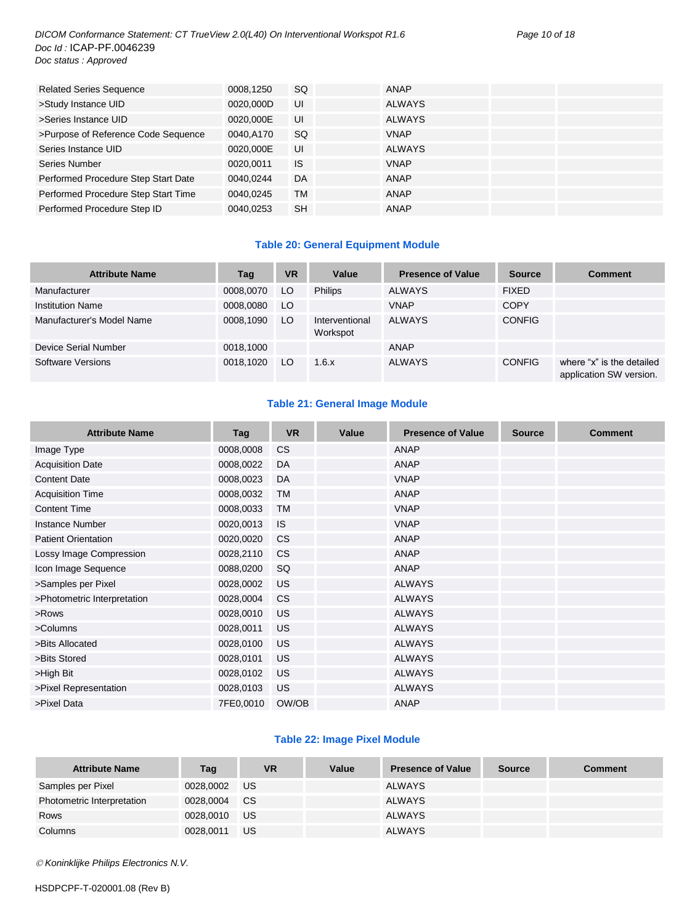#### *DICOM Conformance Statement: CT TrueView 2.0(L40) On Interventional Workspot R1.6 Page 10 of 18 Doc Id :* ICAP-PF.0046239 *Doc status : Approved*

| 0008,1250 | SQ.       | <b>ANAP</b>   |  |
|-----------|-----------|---------------|--|
| 0020,000D | UI        | <b>ALWAYS</b> |  |
| 0020,000E | UI        | <b>ALWAYS</b> |  |
| 0040.A170 | SQ.       | <b>VNAP</b>   |  |
| 0020,000E | UI        | <b>ALWAYS</b> |  |
| 0020,0011 | <b>IS</b> | <b>VNAP</b>   |  |
| 0040.0244 | DA.       | <b>ANAP</b>   |  |
| 0040,0245 | TM        | ANAP          |  |
| 0040,0253 | <b>SH</b> | ANAP          |  |
|           |           |               |  |

#### **Table 20: General Equipment Module**

| <b>Attribute Name</b>     | Tag       | <b>VR</b> | Value                      | <b>Presence of Value</b> | <b>Source</b> | <b>Comment</b>                                       |
|---------------------------|-----------|-----------|----------------------------|--------------------------|---------------|------------------------------------------------------|
| Manufacturer              | 0008,0070 | LO        | <b>Philips</b>             | <b>ALWAYS</b>            | <b>FIXED</b>  |                                                      |
| <b>Institution Name</b>   | 0008,0080 | LO.       |                            | <b>VNAP</b>              | <b>COPY</b>   |                                                      |
| Manufacturer's Model Name | 0008,1090 | LO.       | Interventional<br>Workspot | <b>ALWAYS</b>            | <b>CONFIG</b> |                                                      |
| Device Serial Number      | 0018.1000 |           |                            | ANAP                     |               |                                                      |
| <b>Software Versions</b>  | 0018,1020 | LO        | 1.6.x                      | <b>ALWAYS</b>            | <b>CONFIG</b> | where "x" is the detailed<br>application SW version. |

#### **Table 21: General Image Module**

| <b>Attribute Name</b>       | Tag       | <b>VR</b> | Value | <b>Presence of Value</b> | <b>Source</b> | <b>Comment</b> |
|-----------------------------|-----------|-----------|-------|--------------------------|---------------|----------------|
| Image Type                  | 0008,0008 | <b>CS</b> |       | <b>ANAP</b>              |               |                |
| <b>Acquisition Date</b>     | 0008,0022 | DA        |       | <b>ANAP</b>              |               |                |
| <b>Content Date</b>         | 0008,0023 | <b>DA</b> |       | <b>VNAP</b>              |               |                |
| <b>Acquisition Time</b>     | 0008,0032 | <b>TM</b> |       | <b>ANAP</b>              |               |                |
| <b>Content Time</b>         | 0008,0033 | <b>TM</b> |       | <b>VNAP</b>              |               |                |
| <b>Instance Number</b>      | 0020,0013 | <b>IS</b> |       | <b>VNAP</b>              |               |                |
| <b>Patient Orientation</b>  | 0020,0020 | <b>CS</b> |       | <b>ANAP</b>              |               |                |
| Lossy Image Compression     | 0028,2110 | <b>CS</b> |       | <b>ANAP</b>              |               |                |
| Icon Image Sequence         | 0088,0200 | SQ        |       | <b>ANAP</b>              |               |                |
| >Samples per Pixel          | 0028,0002 | US        |       | <b>ALWAYS</b>            |               |                |
| >Photometric Interpretation | 0028,0004 | <b>CS</b> |       | <b>ALWAYS</b>            |               |                |
| >Rows                       | 0028,0010 | <b>US</b> |       | <b>ALWAYS</b>            |               |                |
| >Columns                    | 0028,0011 | <b>US</b> |       | <b>ALWAYS</b>            |               |                |
| >Bits Allocated             | 0028,0100 | <b>US</b> |       | <b>ALWAYS</b>            |               |                |
| >Bits Stored                | 0028,0101 | <b>US</b> |       | <b>ALWAYS</b>            |               |                |
| >High Bit                   | 0028,0102 | <b>US</b> |       | <b>ALWAYS</b>            |               |                |
| >Pixel Representation       | 0028,0103 | <b>US</b> |       | <b>ALWAYS</b>            |               |                |
| >Pixel Data                 | 7FE0,0010 | OW/OB     |       | <b>ANAP</b>              |               |                |

#### **Table 22: Image Pixel Module**

| <b>Attribute Name</b>      | Tag       | <b>VR</b> | Value | <b>Presence of Value</b> | <b>Source</b> | Comment |
|----------------------------|-----------|-----------|-------|--------------------------|---------------|---------|
| Samples per Pixel          | 0028,0002 | US        |       | <b>ALWAYS</b>            |               |         |
| Photometric Interpretation | 0028.0004 | <b>CS</b> |       | <b>ALWAYS</b>            |               |         |
| Rows                       | 0028.0010 | US        |       | <b>ALWAYS</b>            |               |         |
| Columns                    | 0028.0011 | US        |       | <b>ALWAYS</b>            |               |         |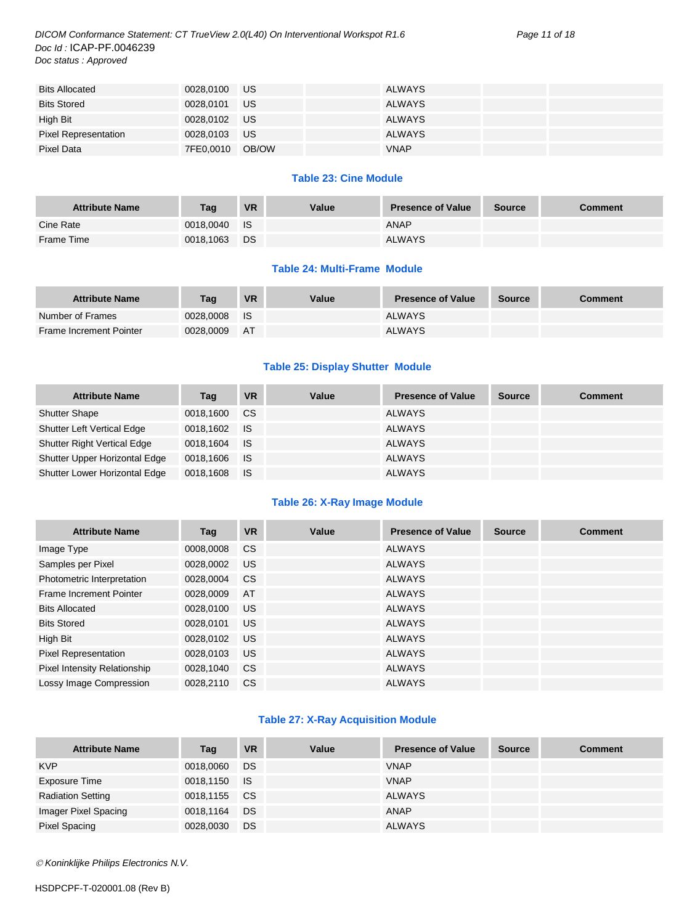*DICOM Conformance Statement: CT TrueView 2.0(L40) On Interventional Workspot R1.6 Page 11 of 18 Doc Id :* ICAP-PF.0046239 *Doc status : Approved*

| <b>Bits Allocated</b>       | 0028,0100 US    |           | <b>ALWAYS</b> |  |
|-----------------------------|-----------------|-----------|---------------|--|
| <b>Bits Stored</b>          | 0028,0101       | <b>US</b> | <b>ALWAYS</b> |  |
| High Bit                    | 0028,0102 US    |           | <b>ALWAYS</b> |  |
| <b>Pixel Representation</b> | 0028,0103 US    |           | <b>ALWAYS</b> |  |
| Pixel Data                  | 7FE0,0010 OB/OW |           | <b>VNAP</b>   |  |

#### **Table 23: Cine Module**

| <b>Attribute Name</b> | Tag       | <b>VR</b> | Value | <b>Presence of Value</b> | Source | Comment |
|-----------------------|-----------|-----------|-------|--------------------------|--------|---------|
| Cine Rate             | 0018,0040 | <b>IS</b> |       | ANAP                     |        |         |
| Frame Time            | 0018,1063 | <b>DS</b> |       | <b>ALWAYS</b>            |        |         |

#### **Table 24: Multi-Frame Module**

| <b>Attribute Name</b>   | Tag       | <b>VR</b> | Value | <b>Presence of Value</b> | <b>Source</b> | Comment |
|-------------------------|-----------|-----------|-------|--------------------------|---------------|---------|
| Number of Frames        | 0028.0008 | - IS      |       | <b>ALWAYS</b>            |               |         |
| Frame Increment Pointer | 0028.0009 | AT        |       | <b>ALWAYS</b>            |               |         |

#### **Table 25: Display Shutter Module**

| <b>Attribute Name</b>              | Tag          | VR          | Value | <b>Presence of Value</b> | <b>Source</b> | <b>Comment</b> |
|------------------------------------|--------------|-------------|-------|--------------------------|---------------|----------------|
| <b>Shutter Shape</b>               | 0018.1600    | <b>CS</b>   |       | ALWAYS                   |               |                |
| <b>Shutter Left Vertical Edge</b>  | 0018.1602 IS |             |       | ALWAYS                   |               |                |
| <b>Shutter Right Vertical Edge</b> | 0018.1604    | <b>I</b> IS |       | ALWAYS                   |               |                |
| Shutter Upper Horizontal Edge      | 0018,1606 IS |             |       | ALWAYS                   |               |                |
| Shutter Lower Horizontal Edge      | 0018,1608    | ⊟ IS        |       | <b>ALWAYS</b>            |               |                |

#### **Table 26: X-Ray Image Module**

| <b>Attribute Name</b>        | Tag       | <b>VR</b> | Value | <b>Presence of Value</b> | <b>Source</b> | <b>Comment</b> |
|------------------------------|-----------|-----------|-------|--------------------------|---------------|----------------|
| Image Type                   | 0008,0008 | <b>CS</b> |       | <b>ALWAYS</b>            |               |                |
| Samples per Pixel            | 0028.0002 | US.       |       | <b>ALWAYS</b>            |               |                |
| Photometric Interpretation   | 0028.0004 | <b>CS</b> |       | <b>ALWAYS</b>            |               |                |
| Frame Increment Pointer      | 0028,0009 | AT        |       | <b>ALWAYS</b>            |               |                |
| <b>Bits Allocated</b>        | 0028,0100 | US.       |       | <b>ALWAYS</b>            |               |                |
| <b>Bits Stored</b>           | 0028,0101 | <b>US</b> |       | <b>ALWAYS</b>            |               |                |
| High Bit                     | 0028,0102 | US.       |       | <b>ALWAYS</b>            |               |                |
| Pixel Representation         | 0028,0103 | US.       |       | <b>ALWAYS</b>            |               |                |
| Pixel Intensity Relationship | 0028,1040 | <b>CS</b> |       | <b>ALWAYS</b>            |               |                |
| Lossy Image Compression      | 0028.2110 | <b>CS</b> |       | <b>ALWAYS</b>            |               |                |

#### **Table 27: X-Ray Acquisition Module**

| <b>Attribute Name</b>    | Tag          | <b>VR</b> | Value | <b>Presence of Value</b> | <b>Source</b> | <b>Comment</b> |
|--------------------------|--------------|-----------|-------|--------------------------|---------------|----------------|
| <b>KVP</b>               | 0018,0060    | DS        |       | <b>VNAP</b>              |               |                |
| Exposure Time            | 0018,1150 IS |           |       | <b>VNAP</b>              |               |                |
| <b>Radiation Setting</b> | 0018,1155 CS |           |       | ALWAYS                   |               |                |
| Imager Pixel Spacing     | 0018,1164    | DS        |       | ANAP                     |               |                |
| <b>Pixel Spacing</b>     | 0028,0030    | DS        |       | <b>ALWAYS</b>            |               |                |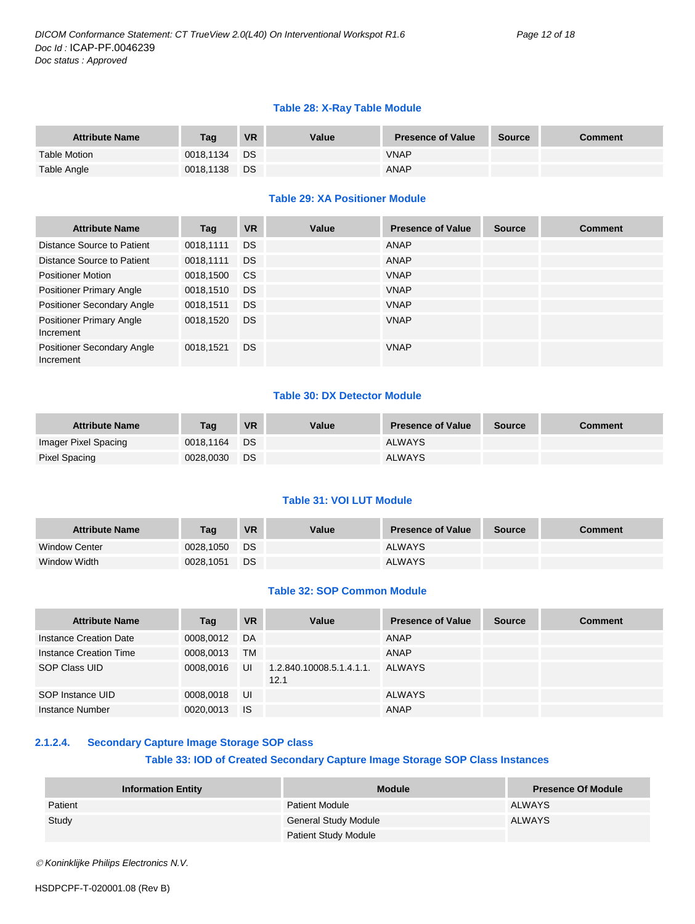#### **Table 28: X-Ray Table Module**

| <b>Attribute Name</b> | Taq       | <b>VR</b> | Value | <b>Presence of Value</b> | <b>Source</b> | <b>Comment</b> |
|-----------------------|-----------|-----------|-------|--------------------------|---------------|----------------|
| <b>Table Motion</b>   | 0018.1134 | <b>DS</b> |       | <b>VNAP</b>              |               |                |
| Table Angle           | 0018,1138 | <b>DS</b> |       | <b>ANAP</b>              |               |                |

#### **Table 29: XA Positioner Module**

| <b>Attribute Name</b>                          | Tag       | <b>VR</b>     | Value | <b>Presence of Value</b> | <b>Source</b> | <b>Comment</b> |
|------------------------------------------------|-----------|---------------|-------|--------------------------|---------------|----------------|
| Distance Source to Patient                     | 0018,1111 | <b>DS</b>     |       | ANAP                     |               |                |
| Distance Source to Patient                     | 0018,1111 | <b>DS</b>     |       | ANAP                     |               |                |
| <b>Positioner Motion</b>                       | 0018,1500 | <sub>CS</sub> |       | <b>VNAP</b>              |               |                |
| <b>Positioner Primary Angle</b>                | 0018,1510 | <b>DS</b>     |       | <b>VNAP</b>              |               |                |
| Positioner Secondary Angle                     | 0018,1511 | <b>DS</b>     |       | <b>VNAP</b>              |               |                |
| <b>Positioner Primary Angle</b><br>Increment   | 0018,1520 | <b>DS</b>     |       | <b>VNAP</b>              |               |                |
| <b>Positioner Secondary Angle</b><br>Increment | 0018,1521 | <b>DS</b>     |       | <b>VNAP</b>              |               |                |

#### **Table 30: DX Detector Module**

| <b>Attribute Name</b> | Taq       | VR        | Value | <b>Presence of Value</b> | <b>Source</b> | Comment |
|-----------------------|-----------|-----------|-------|--------------------------|---------------|---------|
| Imager Pixel Spacing  | 0018.1164 | <b>DS</b> |       | <b>ALWAYS</b>            |               |         |
| Pixel Spacing         | 0028,0030 | DS.       |       | <b>ALWAYS</b>            |               |         |

#### **Table 31: VOI LUT Module**

| <b>Attribute Name</b> | Taq       | <b>VR</b> | Value | <b>Presence of Value</b> | <b>Source</b> | Comment |
|-----------------------|-----------|-----------|-------|--------------------------|---------------|---------|
| <b>Window Center</b>  | 0028.1050 | DS        |       | <b>ALWAYS</b>            |               |         |
| Window Width          | 0028.1051 | DS        |       | <b>ALWAYS</b>            |               |         |

#### **Table 32: SOP Common Module**

| <b>Attribute Name</b>  | Tag       | <b>VR</b> | Value                            | <b>Presence of Value</b> | <b>Source</b> | <b>Comment</b> |
|------------------------|-----------|-----------|----------------------------------|--------------------------|---------------|----------------|
| Instance Creation Date | 0008.0012 | DA        |                                  | ANAP                     |               |                |
| Instance Creation Time | 0008.0013 | TM        |                                  | ANAP                     |               |                |
| SOP Class UID          | 0008,0016 | UI        | 1.2.840.10008.5.1.4.1.1.<br>12.1 | ALWAYS                   |               |                |
| SOP Instance UID       | 0008,0018 | UI        |                                  | <b>ALWAYS</b>            |               |                |
| Instance Number        | 0020,0013 | - IS      |                                  | <b>ANAP</b>              |               |                |

#### <span id="page-11-0"></span>**2.1.2.4. Secondary Capture Image Storage SOP class**

#### **Table 33: IOD of Created Secondary Capture Image Storage SOP Class Instances**

| <b>Information Entity</b> | <b>Module</b>               | <b>Presence Of Module</b> |
|---------------------------|-----------------------------|---------------------------|
| Patient                   | <b>Patient Module</b>       | ALWAYS                    |
| Study                     | <b>General Study Module</b> | <b>ALWAYS</b>             |
|                           | <b>Patient Study Module</b> |                           |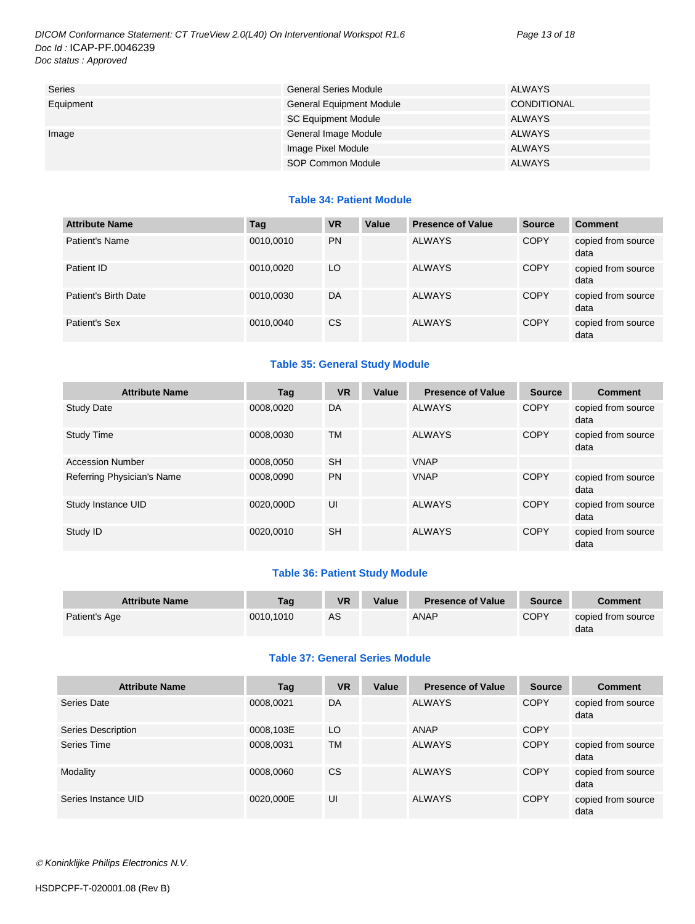*DICOM Conformance Statement: CT TrueView 2.0(L40) On Interventional Workspot R1.6 Page 13 of 18 Doc Id :* ICAP-PF.0046239 *Doc status : Approved*

| Series    | <b>General Series Module</b>    | ALWAYS             |
|-----------|---------------------------------|--------------------|
| Equipment | <b>General Equipment Module</b> | <b>CONDITIONAL</b> |
|           | <b>SC Equipment Module</b>      | ALWAYS             |
| Image     | General Image Module            | ALWAYS             |
|           | Image Pixel Module              | <b>ALWAYS</b>      |
|           | SOP Common Module               | ALWAYS             |

#### **Table 34: Patient Module**

| <b>Attribute Name</b> | Tag       | <b>VR</b>     | Value | <b>Presence of Value</b> | <b>Source</b> | <b>Comment</b>             |
|-----------------------|-----------|---------------|-------|--------------------------|---------------|----------------------------|
| Patient's Name        | 0010,0010 | <b>PN</b>     |       | <b>ALWAYS</b>            | <b>COPY</b>   | copied from source<br>data |
| Patient ID            | 0010,0020 | LO            |       | <b>ALWAYS</b>            | <b>COPY</b>   | copied from source<br>data |
| Patient's Birth Date  | 0010,0030 | DA            |       | <b>ALWAYS</b>            | <b>COPY</b>   | copied from source<br>data |
| Patient's Sex         | 0010,0040 | <sub>CS</sub> |       | <b>ALWAYS</b>            | <b>COPY</b>   | copied from source<br>data |

#### **Table 35: General Study Module**

| <b>Attribute Name</b>      | Tag       | <b>VR</b> | Value | <b>Presence of Value</b> | <b>Source</b> | <b>Comment</b>             |
|----------------------------|-----------|-----------|-------|--------------------------|---------------|----------------------------|
| <b>Study Date</b>          | 0008.0020 | DA        |       | <b>ALWAYS</b>            | <b>COPY</b>   | copied from source<br>data |
| <b>Study Time</b>          | 0008.0030 | <b>TM</b> |       | <b>ALWAYS</b>            | COPY          | copied from source<br>data |
| <b>Accession Number</b>    | 0008.0050 | <b>SH</b> |       | <b>VNAP</b>              |               |                            |
| Referring Physician's Name | 0008,0090 | <b>PN</b> |       | <b>VNAP</b>              | <b>COPY</b>   | copied from source<br>data |
| Study Instance UID         | 0020.000D | UI        |       | <b>ALWAYS</b>            | <b>COPY</b>   | copied from source<br>data |
| Study ID                   | 0020,0010 | <b>SH</b> |       | <b>ALWAYS</b>            | <b>COPY</b>   | copied from source<br>data |

#### **Table 36: Patient Study Module**

| <b>Attribute Name</b> | Tag       | <b>VR</b> | Value | <b>Presence of Value</b> | <b>Source</b> | <b>Comment</b>             |
|-----------------------|-----------|-----------|-------|--------------------------|---------------|----------------------------|
| Patient's Age         | 0010.1010 | AS        |       | <b>ANAP</b>              | <b>COPY</b>   | copied from source<br>data |

#### **Table 37: General Series Module**

| <b>Attribute Name</b> | Tag       | <b>VR</b> | Value | <b>Presence of Value</b> | <b>Source</b> | <b>Comment</b>             |
|-----------------------|-----------|-----------|-------|--------------------------|---------------|----------------------------|
| Series Date           | 0008,0021 | DA        |       | <b>ALWAYS</b>            | <b>COPY</b>   | copied from source<br>data |
| Series Description    | 0008,103E | LO        |       | ANAP                     | <b>COPY</b>   |                            |
| Series Time           | 0008,0031 | <b>TM</b> |       | <b>ALWAYS</b>            | <b>COPY</b>   | copied from source<br>data |
| Modality              | 0008,0060 | CS        |       | <b>ALWAYS</b>            | <b>COPY</b>   | copied from source<br>data |
| Series Instance UID   | 0020,000E | UI        |       | <b>ALWAYS</b>            | <b>COPY</b>   | copied from source<br>data |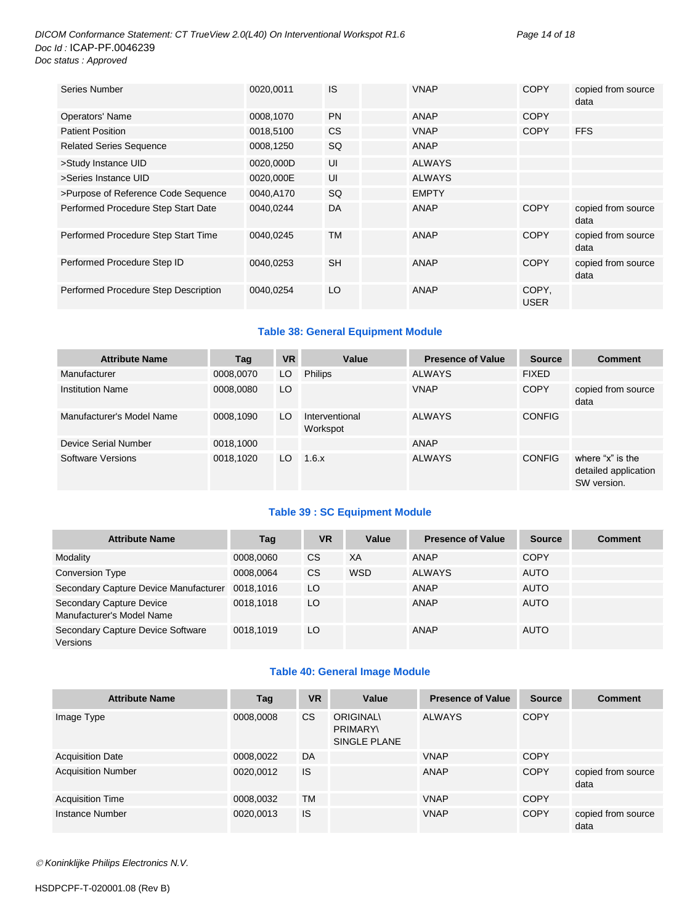#### *DICOM Conformance Statement: CT TrueView 2.0(L40) On Interventional Workspot R1.6 Page 14 of 18 Doc Id :* ICAP-PF.0046239 *Doc status : Approved*

| Series Number                        | 0020,0011 | IS        | <b>VNAP</b>   | <b>COPY</b>          | copied from source<br>data |
|--------------------------------------|-----------|-----------|---------------|----------------------|----------------------------|
| Operators' Name                      | 0008,1070 | <b>PN</b> | <b>ANAP</b>   | <b>COPY</b>          |                            |
| <b>Patient Position</b>              | 0018,5100 | CS        | <b>VNAP</b>   | <b>COPY</b>          | <b>FFS</b>                 |
| <b>Related Series Sequence</b>       | 0008,1250 | SQ        | ANAP          |                      |                            |
| >Study Instance UID                  | 0020,000D | UI        | <b>ALWAYS</b> |                      |                            |
| >Series Instance UID                 | 0020,000E | UI        | <b>ALWAYS</b> |                      |                            |
| >Purpose of Reference Code Sequence  | 0040,A170 | SQ        | <b>EMPTY</b>  |                      |                            |
| Performed Procedure Step Start Date  | 0040.0244 | DA        | ANAP          | <b>COPY</b>          | copied from source<br>data |
| Performed Procedure Step Start Time  | 0040.0245 | TM        | <b>ANAP</b>   | <b>COPY</b>          | copied from source<br>data |
| Performed Procedure Step ID          | 0040,0253 | <b>SH</b> | <b>ANAP</b>   | <b>COPY</b>          | copied from source<br>data |
| Performed Procedure Step Description | 0040,0254 | LO        | ANAP          | COPY,<br><b>USER</b> |                            |

#### **Table 38: General Equipment Module**

| <b>Attribute Name</b>     | Tag       | <b>VR</b> | Value                      | <b>Presence of Value</b> | <b>Source</b> | <b>Comment</b>                                          |
|---------------------------|-----------|-----------|----------------------------|--------------------------|---------------|---------------------------------------------------------|
| Manufacturer              | 0008,0070 | LO.       | <b>Philips</b>             | <b>ALWAYS</b>            | <b>FIXED</b>  |                                                         |
| <b>Institution Name</b>   | 0008,0080 | LO        |                            | <b>VNAP</b>              | <b>COPY</b>   | copied from source<br>data                              |
| Manufacturer's Model Name | 0008,1090 | LO.       | Interventional<br>Workspot | <b>ALWAYS</b>            | <b>CONFIG</b> |                                                         |
| Device Serial Number      | 0018,1000 |           |                            | ANAP                     |               |                                                         |
| Software Versions         | 0018.1020 | LO.       | 1.6.x                      | <b>ALWAYS</b>            | <b>CONFIG</b> | where "x" is the<br>detailed application<br>SW version. |

#### **Table 39 : SC Equipment Module**

| <b>Attribute Name</b>                                 | Tag       | <b>VR</b> | Value      | <b>Presence of Value</b> | <b>Source</b> | <b>Comment</b> |
|-------------------------------------------------------|-----------|-----------|------------|--------------------------|---------------|----------------|
| Modality                                              | 0008,0060 | <b>CS</b> | XA         | ANAP                     | <b>COPY</b>   |                |
| Conversion Type                                       | 0008.0064 | <b>CS</b> | <b>WSD</b> | <b>ALWAYS</b>            | <b>AUTO</b>   |                |
| Secondary Capture Device Manufacturer                 | 0018.1016 | LO        |            | ANAP                     | <b>AUTO</b>   |                |
| Secondary Capture Device<br>Manufacturer's Model Name | 0018.1018 | LO        |            | ANAP                     | <b>AUTO</b>   |                |
| Secondary Capture Device Software<br>Versions         | 0018.1019 | LO        |            | ANAP                     | <b>AUTO</b>   |                |

#### **Table 40: General Image Module**

| <b>Attribute Name</b>     | Tag       | <b>VR</b> | Value                                              | <b>Presence of Value</b> | <b>Source</b> | <b>Comment</b>             |
|---------------------------|-----------|-----------|----------------------------------------------------|--------------------------|---------------|----------------------------|
| Image Type                | 0008,0008 | CS.       | <b>ORIGINAL\</b><br><b>PRIMARY</b><br>SINGLE PLANE | <b>ALWAYS</b>            | <b>COPY</b>   |                            |
| <b>Acquisition Date</b>   | 0008,0022 | DA        |                                                    | <b>VNAP</b>              | <b>COPY</b>   |                            |
| <b>Acquisition Number</b> | 0020,0012 | <b>IS</b> |                                                    | ANAP                     | <b>COPY</b>   | copied from source<br>data |
| <b>Acquisition Time</b>   | 0008,0032 | TM        |                                                    | <b>VNAP</b>              | <b>COPY</b>   |                            |
| Instance Number           | 0020,0013 | IS        |                                                    | <b>VNAP</b>              | <b>COPY</b>   | copied from source<br>data |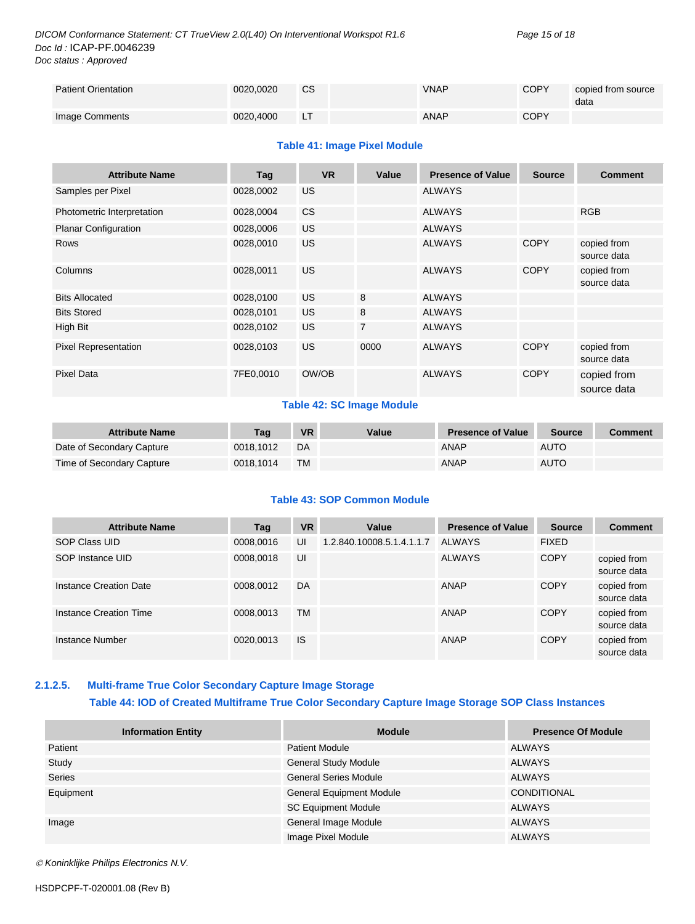| <b>Patient Orientation</b> | 0020.0020 | <b>CS</b> | <b>VNAP</b> | <b>COPY</b> | copied from source<br>data |
|----------------------------|-----------|-----------|-------------|-------------|----------------------------|
| Image Comments             | 0020.4000 |           | <b>ANAP</b> | <b>COPY</b> |                            |

#### **Table 41: Image Pixel Module**

| <b>Attribute Name</b>       | Tag       | <b>VR</b> | Value          | <b>Presence of Value</b> | <b>Source</b> | <b>Comment</b>             |
|-----------------------------|-----------|-----------|----------------|--------------------------|---------------|----------------------------|
| Samples per Pixel           | 0028,0002 | US.       |                | <b>ALWAYS</b>            |               |                            |
| Photometric Interpretation  | 0028,0004 | <b>CS</b> |                | <b>ALWAYS</b>            |               | <b>RGB</b>                 |
| <b>Planar Configuration</b> | 0028,0006 | <b>US</b> |                | <b>ALWAYS</b>            |               |                            |
| <b>Rows</b>                 | 0028,0010 | <b>US</b> |                | <b>ALWAYS</b>            | <b>COPY</b>   | copied from<br>source data |
| Columns                     | 0028,0011 | <b>US</b> |                | <b>ALWAYS</b>            | <b>COPY</b>   | copied from<br>source data |
| <b>Bits Allocated</b>       | 0028,0100 | <b>US</b> | 8              | <b>ALWAYS</b>            |               |                            |
| <b>Bits Stored</b>          | 0028,0101 | <b>US</b> | 8              | <b>ALWAYS</b>            |               |                            |
| High Bit                    | 0028,0102 | <b>US</b> | $\overline{7}$ | <b>ALWAYS</b>            |               |                            |
| <b>Pixel Representation</b> | 0028,0103 | <b>US</b> | 0000           | <b>ALWAYS</b>            | <b>COPY</b>   | copied from<br>source data |
| <b>Pixel Data</b>           | 7FE0,0010 | OW/OB     |                | <b>ALWAYS</b>            | <b>COPY</b>   | copied from<br>source data |

#### **Table 42: SC Image Module**

| <b>Attribute Name</b>     | Taɑ       | <b>VR</b> | Value | <b>Presence of Value</b> | <b>Source</b> | <b>Comment</b> |
|---------------------------|-----------|-----------|-------|--------------------------|---------------|----------------|
| Date of Secondary Capture | 0018.1012 | DA        |       | ANAP                     | <b>AUTO</b>   |                |
| Time of Secondary Capture | 0018.1014 | <b>TM</b> |       | ANAP                     | <b>AUTO</b>   |                |

#### **Table 43: SOP Common Module**

| <b>Attribute Name</b>  | Tag       | <b>VR</b> | Value                     | <b>Presence of Value</b> | <b>Source</b> | <b>Comment</b>             |
|------------------------|-----------|-----------|---------------------------|--------------------------|---------------|----------------------------|
| SOP Class UID          | 0008,0016 | UI        | 1.2.840.10008.5.1.4.1.1.7 | ALWAYS                   | <b>FIXED</b>  |                            |
| SOP Instance UID       | 0008,0018 | UI        |                           | <b>ALWAYS</b>            | <b>COPY</b>   | copied from<br>source data |
| Instance Creation Date | 0008,0012 | DA        |                           | ANAP                     | <b>COPY</b>   | copied from<br>source data |
| Instance Creation Time | 0008,0013 | <b>TM</b> |                           | ANAP                     | <b>COPY</b>   | copied from<br>source data |
| Instance Number        | 0020,0013 | <b>IS</b> |                           | ANAP                     | <b>COPY</b>   | copied from<br>source data |

#### <span id="page-14-0"></span>**2.1.2.5. Multi-frame True Color Secondary Capture Image Storage Table 44: IOD of Created Multiframe True Color Secondary Capture Image Storage SOP Class Instances**

| <b>Information Entity</b> | <b>Module</b>                   | <b>Presence Of Module</b> |
|---------------------------|---------------------------------|---------------------------|
| Patient                   | <b>Patient Module</b>           | <b>ALWAYS</b>             |
| Study                     | <b>General Study Module</b>     | <b>ALWAYS</b>             |
| <b>Series</b>             | <b>General Series Module</b>    | <b>ALWAYS</b>             |
| Equipment                 | <b>General Equipment Module</b> | <b>CONDITIONAL</b>        |
|                           | <b>SC Equipment Module</b>      | <b>ALWAYS</b>             |
| Image                     | General Image Module            | <b>ALWAYS</b>             |
|                           | Image Pixel Module              | <b>ALWAYS</b>             |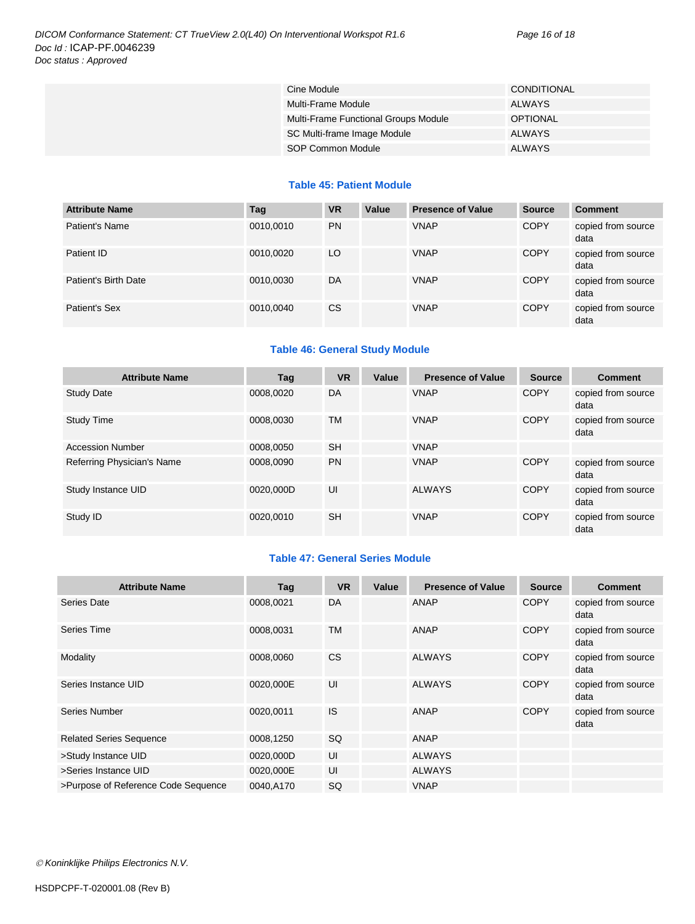| Cine Module                          | CONDITIONAL     |
|--------------------------------------|-----------------|
| Multi-Frame Module                   | ALWAYS          |
| Multi-Frame Functional Groups Module | <b>OPTIONAL</b> |
| SC Multi-frame Image Module          | <b>ALWAYS</b>   |
| SOP Common Module                    | <b>ALWAYS</b>   |

#### **Table 45: Patient Module**

| <b>Attribute Name</b> | Tag       | <b>VR</b> | Value | <b>Presence of Value</b> | <b>Source</b> | <b>Comment</b>             |
|-----------------------|-----------|-----------|-------|--------------------------|---------------|----------------------------|
| Patient's Name        | 0010,0010 | <b>PN</b> |       | <b>VNAP</b>              | <b>COPY</b>   | copied from source<br>data |
| Patient ID            | 0010.0020 | LO        |       | <b>VNAP</b>              | <b>COPY</b>   | copied from source<br>data |
| Patient's Birth Date  | 0010,0030 | DA        |       | <b>VNAP</b>              | <b>COPY</b>   | copied from source<br>data |
| Patient's Sex         | 0010,0040 | <b>CS</b> |       | <b>VNAP</b>              | <b>COPY</b>   | copied from source<br>data |

#### **Table 46: General Study Module**

| <b>Attribute Name</b>      | Tag       | <b>VR</b> | Value | <b>Presence of Value</b> | <b>Source</b> | <b>Comment</b>             |
|----------------------------|-----------|-----------|-------|--------------------------|---------------|----------------------------|
| <b>Study Date</b>          | 0008.0020 | DA        |       | <b>VNAP</b>              | <b>COPY</b>   | copied from source<br>data |
| <b>Study Time</b>          | 0008.0030 | <b>TM</b> |       | <b>VNAP</b>              | <b>COPY</b>   | copied from source<br>data |
| <b>Accession Number</b>    | 0008.0050 | <b>SH</b> |       | <b>VNAP</b>              |               |                            |
| Referring Physician's Name | 0008.0090 | <b>PN</b> |       | <b>VNAP</b>              | <b>COPY</b>   | copied from source<br>data |
| Study Instance UID         | 0020.000D | UI        |       | <b>ALWAYS</b>            | <b>COPY</b>   | copied from source<br>data |
| Study ID                   | 0020.0010 | <b>SH</b> |       | <b>VNAP</b>              | <b>COPY</b>   | copied from source<br>data |

#### **Table 47: General Series Module**

| <b>Attribute Name</b>               | Tag       | <b>VR</b> | Value | <b>Presence of Value</b> | <b>Source</b> | <b>Comment</b>             |
|-------------------------------------|-----------|-----------|-------|--------------------------|---------------|----------------------------|
| Series Date                         | 0008,0021 | DA        |       | ANAP                     | <b>COPY</b>   | copied from source<br>data |
| Series Time                         | 0008,0031 | <b>TM</b> |       | ANAP                     | <b>COPY</b>   | copied from source<br>data |
| Modality                            | 0008,0060 | <b>CS</b> |       | <b>ALWAYS</b>            | <b>COPY</b>   | copied from source<br>data |
| Series Instance UID                 | 0020,000E | UI        |       | <b>ALWAYS</b>            | <b>COPY</b>   | copied from source<br>data |
| Series Number                       | 0020,0011 | IS        |       | ANAP                     | <b>COPY</b>   | copied from source<br>data |
| <b>Related Series Sequence</b>      | 0008,1250 | SQ        |       | ANAP                     |               |                            |
| >Study Instance UID                 | 0020,000D | UI        |       | <b>ALWAYS</b>            |               |                            |
| >Series Instance UID                | 0020,000E | UI        |       | <b>ALWAYS</b>            |               |                            |
| >Purpose of Reference Code Sequence | 0040,A170 | <b>SQ</b> |       | <b>VNAP</b>              |               |                            |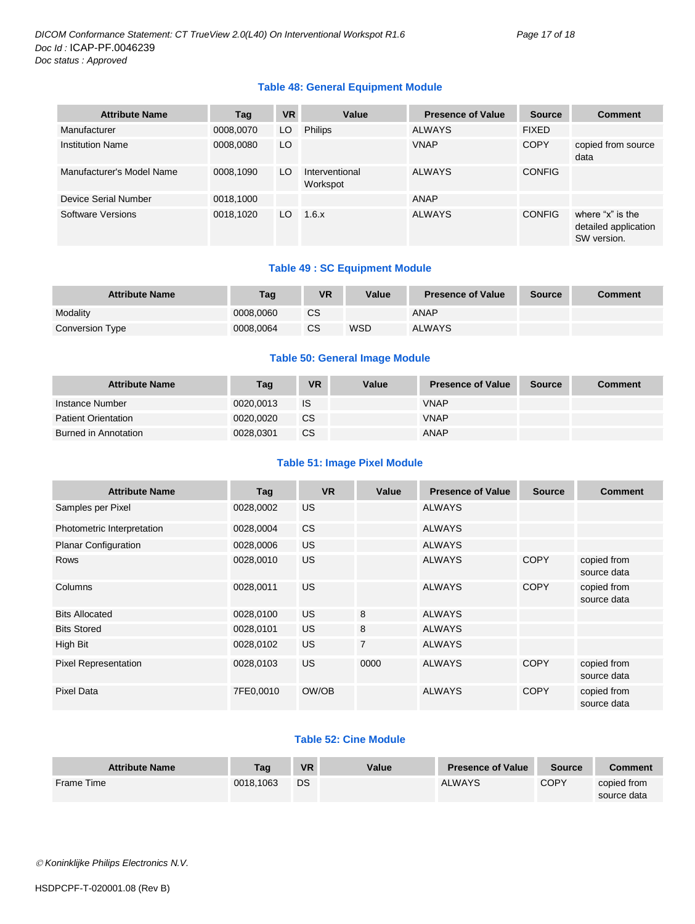#### **Table 48: General Equipment Module**

| <b>Attribute Name</b>     | Tag       | <b>VR</b> | Value                      | <b>Presence of Value</b> | <b>Source</b> | <b>Comment</b>                                          |
|---------------------------|-----------|-----------|----------------------------|--------------------------|---------------|---------------------------------------------------------|
| Manufacturer              | 0008,0070 | LO.       | <b>Philips</b>             | <b>ALWAYS</b>            | <b>FIXED</b>  |                                                         |
| <b>Institution Name</b>   | 0008,0080 | LO        |                            | <b>VNAP</b>              | <b>COPY</b>   | copied from source<br>data                              |
| Manufacturer's Model Name | 0008,1090 | LO        | Interventional<br>Workspot | <b>ALWAYS</b>            | <b>CONFIG</b> |                                                         |
| Device Serial Number      | 0018,1000 |           |                            | <b>ANAP</b>              |               |                                                         |
| Software Versions         | 0018,1020 | LO        | 1.6.x                      | <b>ALWAYS</b>            | <b>CONFIG</b> | where "x" is the<br>detailed application<br>SW version. |

#### **Table 49 : SC Equipment Module**

| <b>Attribute Name</b> | Taq       | VR | Value      | <b>Presence of Value</b> | <b>Source</b> | <b>Comment</b> |
|-----------------------|-----------|----|------------|--------------------------|---------------|----------------|
| Modality              | 0008,0060 | СS |            | <b>ANAP</b>              |               |                |
| Conversion Type       | 0008.0064 | CS | <b>WSD</b> | <b>ALWAYS</b>            |               |                |

#### **Table 50: General Image Module**

| <b>Attribute Name</b>      | Tag       | VR        | Value | <b>Presence of Value</b> | <b>Source</b> | <b>Comment</b> |
|----------------------------|-----------|-----------|-------|--------------------------|---------------|----------------|
| Instance Number            | 0020.0013 | IS        |       | <b>VNAP</b>              |               |                |
| <b>Patient Orientation</b> | 0020.0020 | <b>CS</b> |       | <b>VNAP</b>              |               |                |
| Burned in Annotation       | 0028.0301 | CS        |       | ANAP                     |               |                |

#### **Table 51: Image Pixel Module**

| <b>Attribute Name</b>       | Tag       | <b>VR</b> | Value          | <b>Presence of Value</b> | <b>Source</b> | <b>Comment</b>             |
|-----------------------------|-----------|-----------|----------------|--------------------------|---------------|----------------------------|
| Samples per Pixel           | 0028,0002 | US.       |                | <b>ALWAYS</b>            |               |                            |
| Photometric Interpretation  | 0028,0004 | CS.       |                | <b>ALWAYS</b>            |               |                            |
| <b>Planar Configuration</b> | 0028,0006 | <b>US</b> |                | <b>ALWAYS</b>            |               |                            |
| <b>Rows</b>                 | 0028,0010 | <b>US</b> |                | <b>ALWAYS</b>            | <b>COPY</b>   | copied from<br>source data |
| Columns                     | 0028,0011 | US.       |                | <b>ALWAYS</b>            | <b>COPY</b>   | copied from<br>source data |
| <b>Bits Allocated</b>       | 0028,0100 | US.       | 8              | <b>ALWAYS</b>            |               |                            |
| <b>Bits Stored</b>          | 0028,0101 | US.       | 8              | <b>ALWAYS</b>            |               |                            |
| High Bit                    | 0028,0102 | US.       | $\overline{7}$ | <b>ALWAYS</b>            |               |                            |
| <b>Pixel Representation</b> | 0028,0103 | US.       | 0000           | <b>ALWAYS</b>            | <b>COPY</b>   | copied from<br>source data |
| <b>Pixel Data</b>           | 7FE0,0010 | OW/OB     |                | <b>ALWAYS</b>            | <b>COPY</b>   | copied from<br>source data |

#### **Table 52: Cine Module**

| <b>Attribute Name</b> | Tag       | <b>VR</b> | Value | <b>Presence of Value</b> | <b>Source</b> | Comment                    |
|-----------------------|-----------|-----------|-------|--------------------------|---------------|----------------------------|
| <b>Frame Time</b>     | 0018.1063 | DS        |       | <b>ALWAYS</b>            | <b>COPY</b>   | copied from<br>source data |